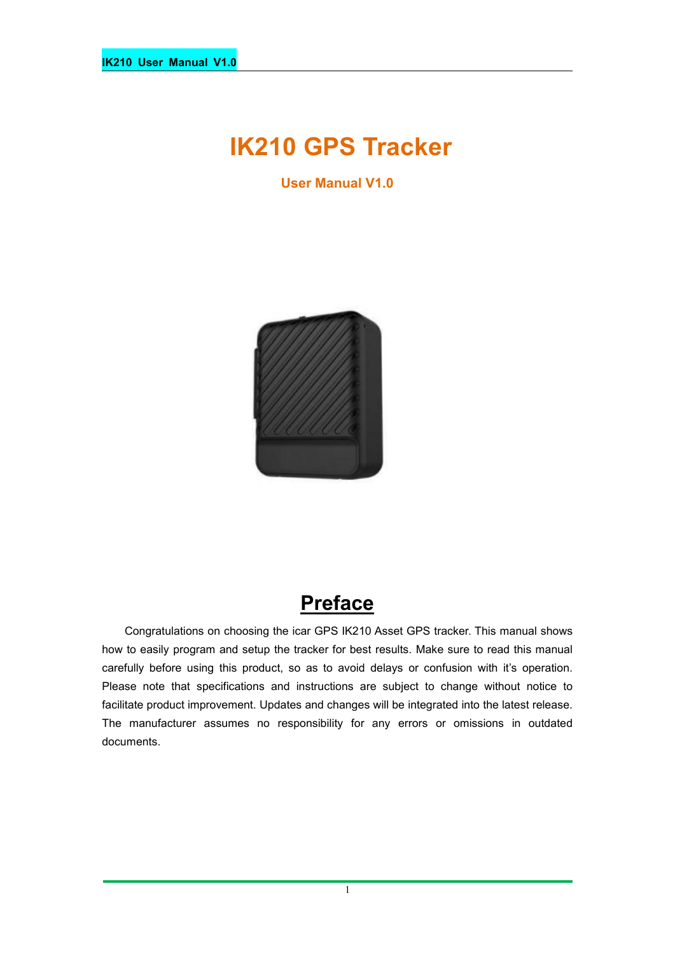# **IK210 GPS Tracker**

**User Manual V1.0**



# **Preface**

Congratulations on choosing the icar GPS IK210 Asset GPS tracker. This manual shows how to easily program and setup the tracker for best results. Make sure to read this manual carefully before using this product, so as to avoid delays or confusion with it's operation. Please note that specifications and instructions are subject to change without notice to facilitate product improvement. Updates and changes will be integrated into the latest release. The manufacturer assumes no responsibility for any errors or omissions in outdated documents.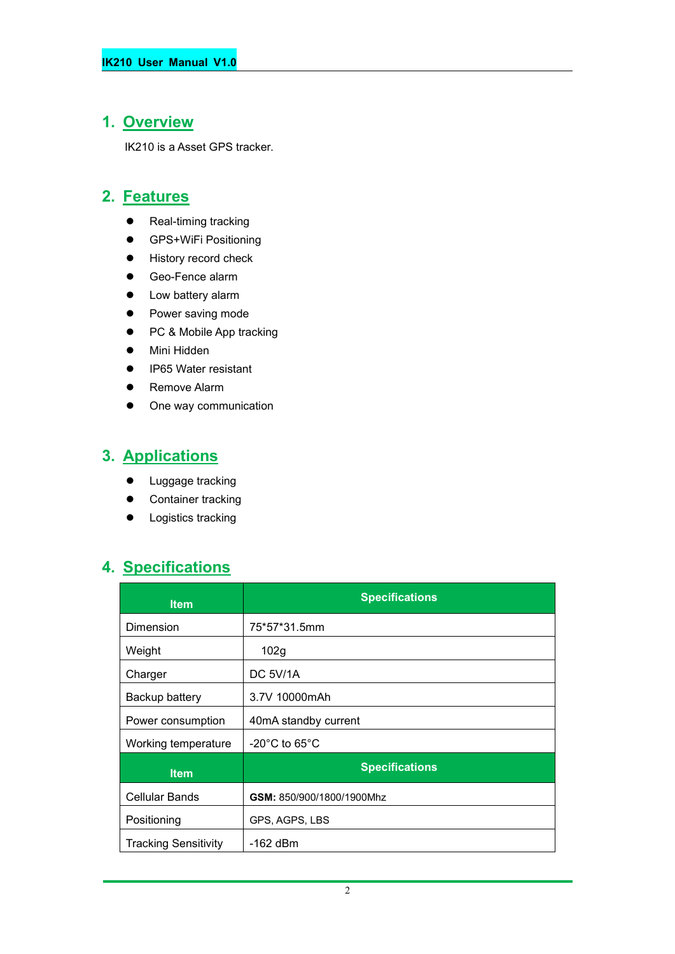## **1. Overview**

IK210 is a Asset GPS tracker.

#### **2. Features**

- Real-timing tracking
- **•** GPS+WiFi Positioning
- **•** History record check
- Geo-Fence alarm
- Low battery alarm
- Power saving mode
- PC & Mobile App tracking
- Mini Hidden
- IP65 Water resistant
- **•** Remove Alarm
- One way communication

## **3. Applications**

- **•** Luggage tracking
- Container tracking
- **•** Logistics tracking

## **4. Specifications**

| <b>Item</b>                 | <b>Specifications</b>              |
|-----------------------------|------------------------------------|
| Dimension                   | 75*57*31.5mm                       |
| Weight                      | 102g                               |
| Charger                     | <b>DC 5V/1A</b>                    |
| Backup battery              | 3.7V 10000mAh                      |
| Power consumption           | 40mA standby current               |
| Working temperature         | $-20^{\circ}$ C to 65 $^{\circ}$ C |
| <b>Item</b>                 | <b>Specifications</b>              |
| <b>Cellular Bands</b>       | GSM: 850/900/1800/1900Mhz          |
| Positioning                 | GPS, AGPS, LBS                     |
| <b>Tracking Sensitivity</b> | -162 dBm                           |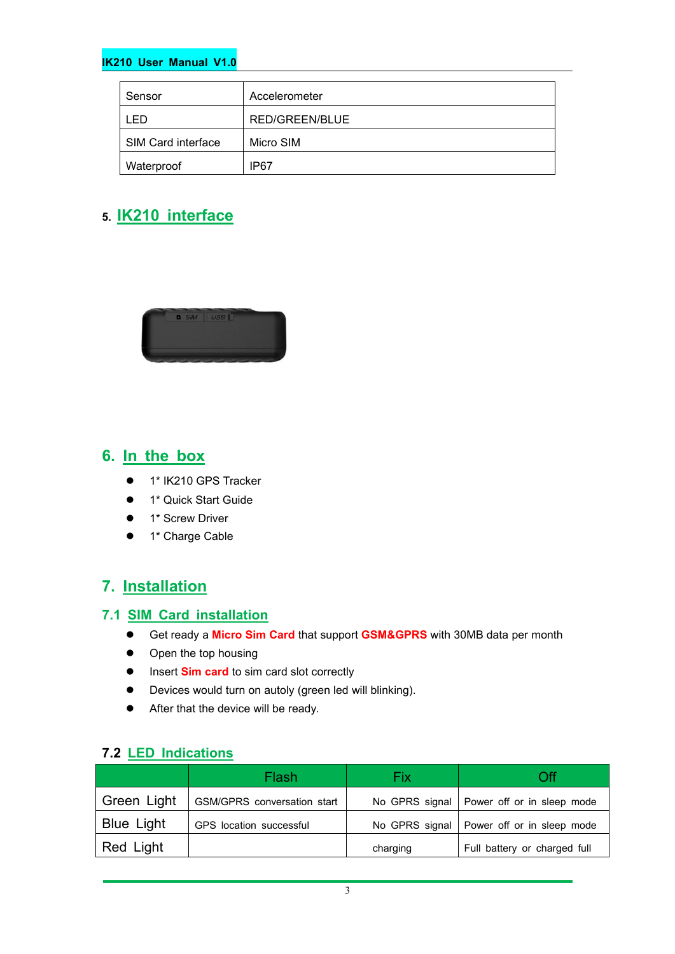#### **IK210 User Manual V1.0**

| Sensor             | Accelerometer  |
|--------------------|----------------|
| I ED.              | RED/GREEN/BLUE |
| SIM Card interface | Micro SIM      |
| Waterproof         | IP67           |

#### **5. IK210 interface**



# **6. In the box**

- 1\* IK210 GPS Tracker
- **1\* Quick Start Guide**
- **•** 1\* Screw Driver
- 1\* Charge Cable

#### **7. Installation**

#### **7.1 SIM Card installation**

- Get ready a **Micro Sim Card** that support **GSM&GPRS** with30MB data per month
- Open the top housing
- $\bullet$  Insert **Sim card** to sim card slot correctly
- Devices would turn on autoly (green led will blinking).
- After that the device will be ready.

#### **7.2 LED Indications**

|                   | Flash                       | Fix      | Оff                                         |
|-------------------|-----------------------------|----------|---------------------------------------------|
| Green Light       | GSM/GPRS conversation start |          | No GPRS signal   Power off or in sleep mode |
| <b>Blue Light</b> | GPS location successful     |          | No GPRS signal   Power off or in sleep mode |
| Red Light         |                             | charging | Full battery or charged full                |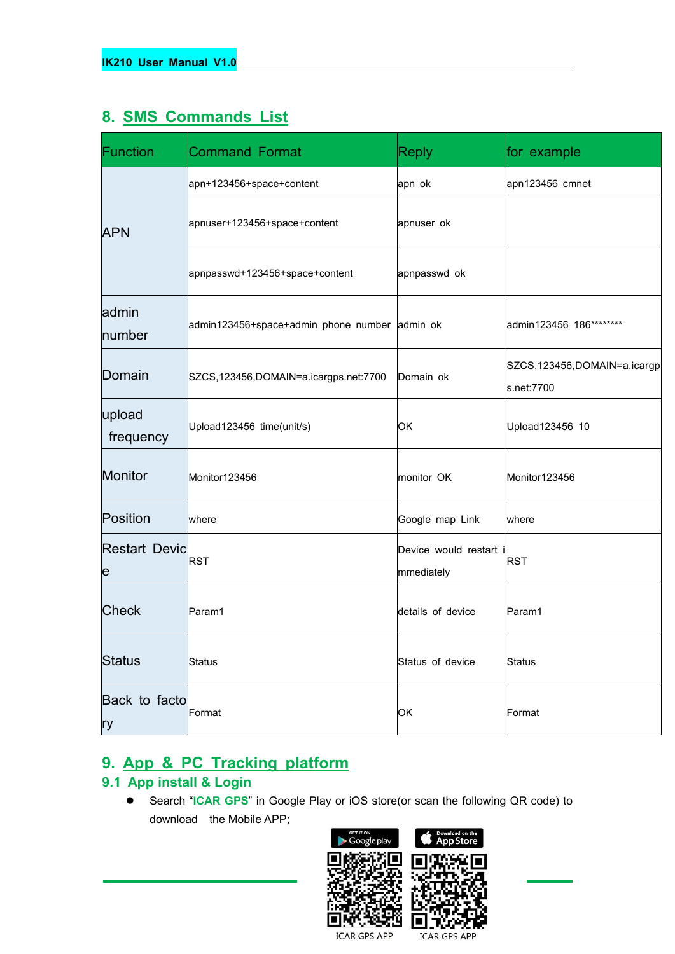## **8. SMS Commands List**

| <b>Function</b>           | <b>Command Format</b>                         | <b>Reply</b>                         | for example                               |
|---------------------------|-----------------------------------------------|--------------------------------------|-------------------------------------------|
|                           | apn+123456+space+content                      | apn ok                               | apn123456 cmnet                           |
| <b>APN</b>                | apnuser+123456+space+content                  | apnuser ok                           |                                           |
|                           | apnpasswd+123456+space+content                | apnpasswd ok                         |                                           |
| admin<br>number           | admin123456+space+admin phone number admin ok |                                      | admin123456 186********                   |
| Domain                    | SZCS, 123456, DOMAIN=a.icargps.net: 7700      | Domain ok                            | SZCS,123456,DOMAIN=a.icargp<br>s.net:7700 |
| upload<br>frequency       | Upload123456 time(unit/s)                     | <b>OK</b>                            | Upload123456 10                           |
| Monitor                   | Monitor123456                                 | monitor OK                           | Monitor123456                             |
| Position                  | where                                         | Google map Link                      | where                                     |
| <b>Restart Devic</b><br>e | <b>RST</b>                                    | Device would restart i<br>mmediately | <b>RST</b>                                |
| <b>Check</b>              | Param1                                        | details of device                    | Param1                                    |
| <b>Status</b>             | Status                                        | Status of device                     | Status                                    |
| Back to facto<br> ry      | Format                                        | OK                                   | Format                                    |

## **9. App & PC Tracking platform**

#### **9.1 App install & Login**

 Search "**ICAR GPS**" in Google Play or iOS store(or scan the following QR code) to download the Mobile APP;



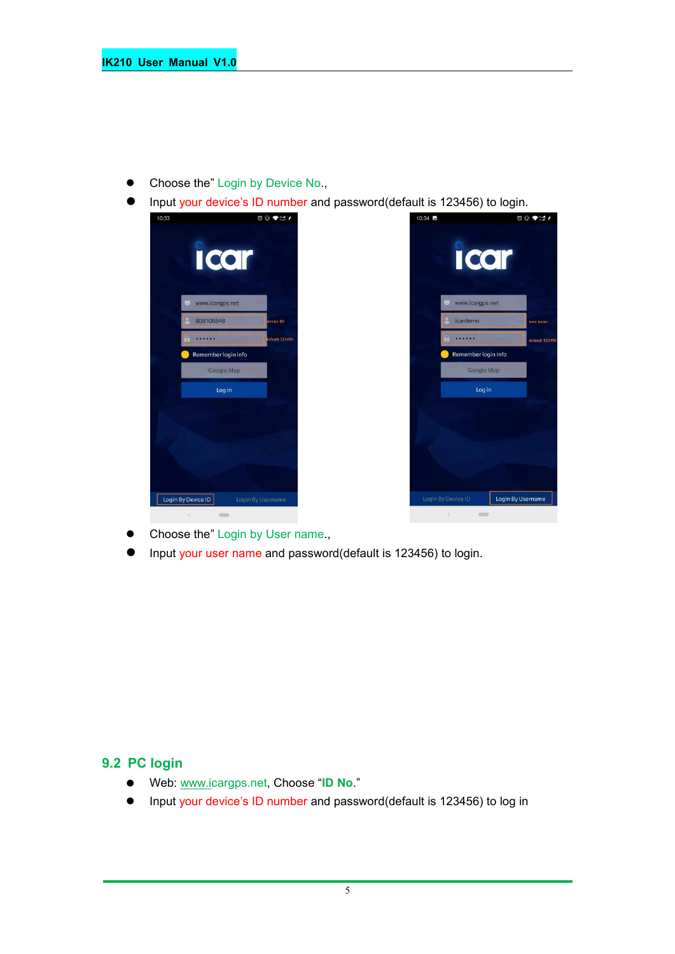- Choose the" Login by Device No.,
- Input your device's ID number and password(default is 123456) to login.



- Choose the" Login by User name.,
- Input your user name and password(default is 123456) to login.

#### **9.2 PC login**

- Web: [www.ic](http://www.trackits.com)argps.net, Choose "**ID No**."
- Input your device's ID number and password(default is 123456) to log in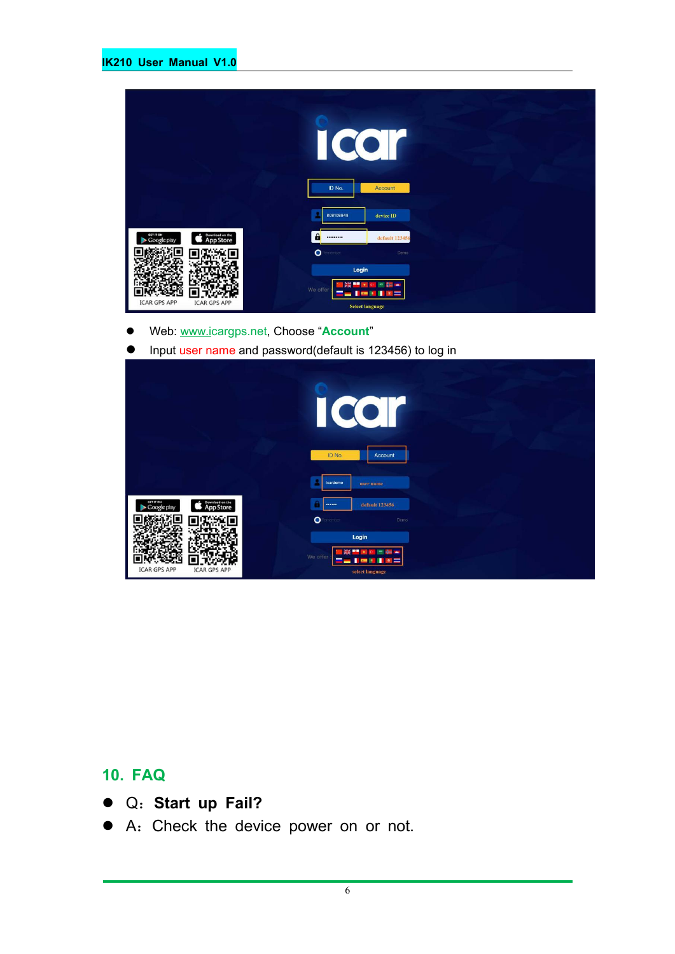|                                                                 | $\overline{\mathcal{C}}$<br>ID No. | Account                                              |
|-----------------------------------------------------------------|------------------------------------|------------------------------------------------------|
|                                                                 | 808108848                          | device ID                                            |
| GET IT ON<br>Download on the<br><b>App Store</b><br>Google play | $\mathbf{a}$<br>                   | default 123456                                       |
|                                                                 | $\bullet$<br>enember               | Demo                                                 |
|                                                                 | Login                              |                                                      |
| <b>ICAR GPS APP</b><br><b>ICAR GPS APP</b>                      | We offer                           | ٠<br>$\star$<br>$\epsilon$<br><b>Select language</b> |

- Web: [www.ic](http://www.trackits.com)argps.net, Choose "**Account**"
- **Input user name and password(default is 123456) to log in**

|                                                                 | CO<br>I                                                                           |
|-----------------------------------------------------------------|-----------------------------------------------------------------------------------|
|                                                                 | ID No.<br>Account<br>icardemo<br>user name                                        |
| GET IT ON<br>Download on the<br><b>App Store</b><br>Google play | default 123456<br><br>$\bullet$<br>enember<br>Demo                                |
| <b>ICAR GPS APP</b><br><b>ICAR GPS APP</b>                      | Login<br>÷<br>瑞<br>7,440<br>We offer<br>a i<br><b>COL</b><br>×<br>select language |

## **10. FAQ**

- Q:**Start up Fail?**
- A:Check the device power on or not.